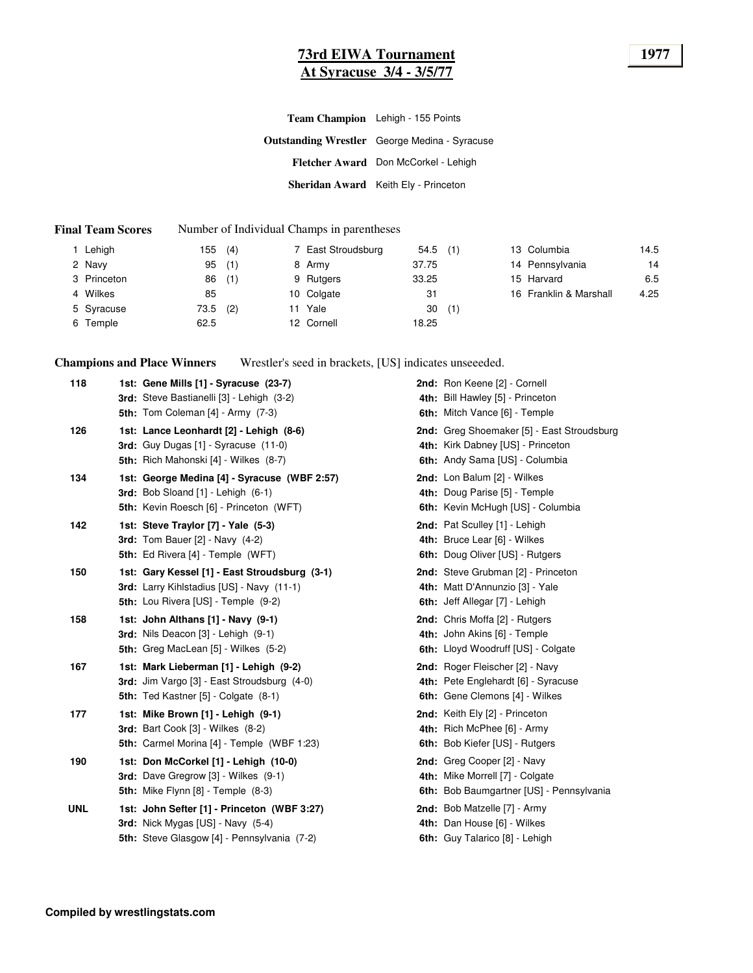### **73rd EIWA Tournament 1977 At Syracuse 3/4 - 3/5/77**

| Team Champion Lehigh - 155 Points                    |
|------------------------------------------------------|
| <b>Outstanding Wrestler</b> George Medina - Syracuse |
| Fletcher Award Don McCorkel - Lehigh                 |
| Sheridan Award Keith Ely - Princeton                 |

#### **Final Team Scores** Number of Individual Champs in parentheses

| Lehigh      | 155  | (4) |    | 7 East Stroudsburg | 54.5  | (1) | 13 Columbia            | 14.5 |
|-------------|------|-----|----|--------------------|-------|-----|------------------------|------|
| 2 Navy      | 95   | (1) |    | 8 Army             | 37.75 |     | 14 Pennsylvania        | 14   |
| 3 Princeton | 86   | (1) |    | 9 Rutgers          | 33.25 |     | 15 Harvard             | 6.5  |
| 4 Wilkes    | 85   |     |    | 10 Colgate         | 31    |     | 16 Franklin & Marshall | 4.25 |
| 5 Syracuse  | 73.5 | (2) | 11 | Yale               | 30    | (1) |                        |      |
| 6 Temple    | 62.5 |     |    | 12 Cornell         | 18.25 |     |                        |      |

**Champions and Place Winners** Wrestler's seed in brackets, [US] indicates unseeeded.

| 118 | 1st: Gene Mills [1] - Syracuse (23-7)<br>3rd: Steve Bastianelli [3] - Lehigh (3-2)<br><b>5th:</b> Tom Coleman $[4]$ - Army $(7-3)$       | 2nd: Ron Keene [2] - Cornell<br>4th: Bill Hawley [5] - Princeton<br>6th: Mitch Vance [6] - Temple                 |
|-----|------------------------------------------------------------------------------------------------------------------------------------------|-------------------------------------------------------------------------------------------------------------------|
| 126 | 1st: Lance Leonhardt [2] - Lehigh (8-6)<br>3rd: Guy Dugas [1] - Syracuse (11-0)<br>5th: Rich Mahonski [4] - Wilkes (8-7)                 | 2nd: Greg Shoemaker [5] - East Stroudsburg<br>4th: Kirk Dabney [US] - Princeton<br>6th: Andy Sama [US] - Columbia |
| 134 | 1st: George Medina [4] - Syracuse (WBF 2:57)<br>3rd: Bob Sloand $[1]$ - Lehigh $(6-1)$<br>5th: Kevin Roesch [6] - Princeton (WFT)        | 2nd: Lon Balum [2] - Wilkes<br>4th: Doug Parise [5] - Temple<br>6th: Kevin McHugh [US] - Columbia                 |
| 142 | 1st: Steve Traylor [7] - Yale (5-3)<br>3rd: Tom Bauer $[2]$ - Navy $(4-2)$<br>5th: Ed Rivera [4] - Temple (WFT)                          | 2nd: Pat Sculley [1] - Lehigh<br>4th: Bruce Lear [6] - Wilkes<br>6th: Doug Oliver [US] - Rutgers                  |
| 150 | 1st: Gary Kessel [1] - East Stroudsburg (3-1)<br>3rd: Larry Kihlstadius [US] - Navy (11-1)<br><b>5th:</b> Lou Rivera [US] - Temple (9-2) | 2nd: Steve Grubman [2] - Princeton<br>4th: Matt D'Annunzio [3] - Yale<br>6th: Jeff Allegar [7] - Lehigh           |
| 158 | 1st: John Althans [1] - Navy (9-1)<br>3rd: Nils Deacon [3] - Lehigh (9-1)<br>5th: Greg MacLean [5] - Wilkes (5-2)                        | 2nd: Chris Moffa [2] - Rutgers<br>4th: John Akins [6] - Temple<br>6th: Lloyd Woodruff [US] - Colgate              |
| 167 | 1st: Mark Lieberman [1] - Lehigh (9-2)<br>3rd: Jim Vargo [3] - East Stroudsburg (4-0)<br><b>5th:</b> Ted Kastner [5] - Colgate (8-1)     | 2nd: Roger Fleischer [2] - Navy<br>4th: Pete Englehardt [6] - Syracuse<br>6th: Gene Clemons [4] - Wilkes          |
| 177 | 1st: Mike Brown [1] - Lehigh (9-1)<br><b>3rd:</b> Bart Cook [3] - Wilkes (8-2)<br>5th: Carmel Morina [4] - Temple (WBF 1:23)             | 2nd: Keith Ely [2] - Princeton<br>4th: Rich McPhee [6] - Army<br>6th: Bob Kiefer [US] - Rutgers                   |
| 190 | 1st: Don McCorkel [1] - Lehigh (10-0)<br><b>3rd:</b> Dave Gregrow [3] - Wilkes (9-1)<br><b>5th:</b> Mike Flynn [8] - Temple (8-3)        | 2nd: Greg Cooper [2] - Navy<br>4th: Mike Morrell [7] - Colgate<br>6th: Bob Baumgartner [US] - Pennsylvania        |
| UNL | 1st: John Sefter [1] - Princeton (WBF 3:27)<br>3rd: Nick Mygas [US] - Navy (5-4)<br>5th: Steve Glasgow [4] - Pennsylvania (7-2)          | 2nd: Bob Matzelle [7] - Army<br>4th: Dan House [6] - Wilkes<br>6th: Guy Talarico [8] - Lehigh                     |
|     |                                                                                                                                          |                                                                                                                   |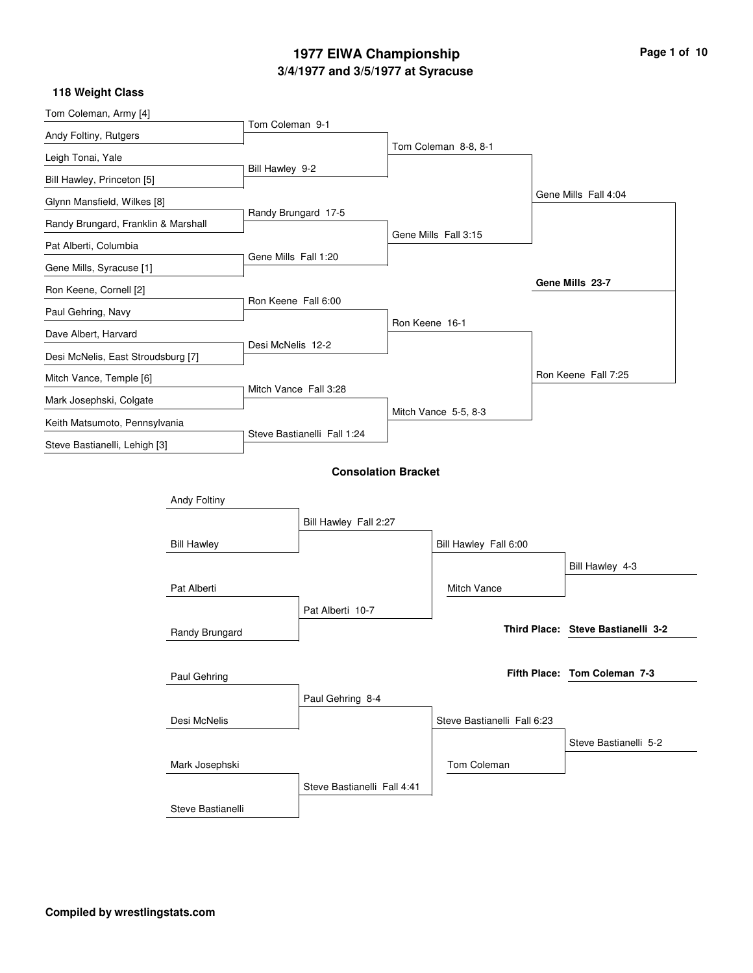### **3/4/1977 and 3/5/1977 at Syracuse 1977 EIWA Championship Page 1 of 10**

#### Tom Coleman, Army [4] Andy Foltiny, Rutgers Leigh Tonai, Yale Bill Hawley, Princeton [5] Glynn Mansfield, Wilkes [8] Randy Brungard, Franklin & Marshall Pat Alberti, Columbia Gene Mills, Syracuse [1] Ron Keene, Cornell [2] Paul Gehring, Navy Dave Albert, Harvard Desi McNelis, East Stroudsburg [7] Mitch Vance, Temple [6] Mark Josephski, Colgate Keith Matsumoto, Pennsylvania Steve Bastianelli, Lehigh [3] Tom Coleman 9-1 Bill Hawley 9-2 Randy Brungard 17-5 Gene Mills Fall 1:20 Ron Keene Fall 6:00 Desi McNelis 12-2 Mitch Vance Fall 3:28 Steve Bastianelli Fall 1:24 Tom Coleman 8-8, 8-1 Gene Mills Fall 3:15 Ron Keene 16-1 Mitch Vance 5-5, 8-3 Gene Mills Fall 4:04 Ron Keene Fall 7:25 **Gene Mills 23-7 118 Weight Class Consolation Bracket** Bill Hawley Randy Brungard Desi McNelis Steve Bastianelli Andy Foltiny Pat Alberti Paul Gehring Mark Josephski Bill Hawley Fall 2:27 Pat Alberti 10-7 Paul Gehring 8-4 Steve Bastianelli Fall 4:41 Bill Hawley Fall 6:00 Steve Bastianelli Fall 6:23 Mitch Vance Tom Coleman Bill Hawley 4-3 Steve Bastianelli 5-2 **Steve Bastianelli 3-2 Third Place: Tom Coleman 7-3 Fifth Place:**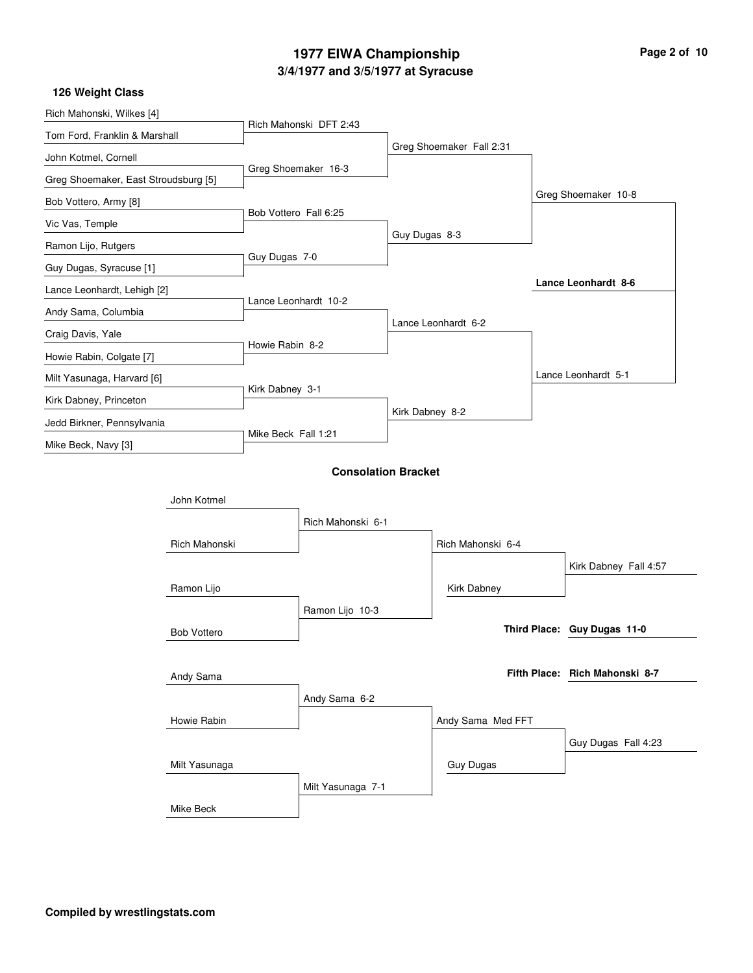### **3/4/1977 and 3/5/1977 at Syracuse 1977 EIWA Championship Page 2 of 10**

| Rich Mahonski, Wilkes [4]            |                    |                       |                            |                 |                          |                                |  |
|--------------------------------------|--------------------|-----------------------|----------------------------|-----------------|--------------------------|--------------------------------|--|
| Tom Ford, Franklin & Marshall        |                    |                       | Rich Mahonski DFT 2:43     |                 |                          |                                |  |
| John Kotmel, Cornell                 |                    |                       |                            |                 | Greg Shoemaker Fall 2:31 |                                |  |
| Greg Shoemaker, East Stroudsburg [5] |                    |                       | Greg Shoemaker 16-3        |                 |                          |                                |  |
| Bob Vottero, Army [8]                |                    |                       |                            |                 |                          | Greg Shoemaker 10-8            |  |
| Vic Vas, Temple                      |                    | Bob Vottero Fall 6:25 |                            |                 |                          |                                |  |
| Ramon Lijo, Rutgers                  |                    |                       |                            | Guy Dugas 8-3   |                          |                                |  |
| Guy Dugas, Syracuse [1]              |                    | Guy Dugas 7-0         |                            |                 |                          |                                |  |
| Lance Leonhardt, Lehigh [2]          |                    |                       |                            |                 |                          | Lance Leonhardt 8-6            |  |
| Andy Sama, Columbia                  |                    |                       | Lance Leonhardt 10-2       |                 |                          |                                |  |
| Craig Davis, Yale                    |                    |                       |                            |                 | Lance Leonhardt 6-2      |                                |  |
| Howie Rabin, Colgate [7]             |                    | Howie Rabin 8-2       |                            |                 |                          |                                |  |
| Milt Yasunaga, Harvard [6]           |                    |                       |                            |                 |                          | Lance Leonhardt 5-1            |  |
| Kirk Dabney, Princeton               |                    | Kirk Dabney 3-1       |                            |                 |                          |                                |  |
| Jedd Birkner, Pennsylvania           |                    |                       |                            | Kirk Dabney 8-2 |                          |                                |  |
| Mike Beck, Navy [3]                  |                    | Mike Beck Fall 1:21   |                            |                 |                          |                                |  |
|                                      |                    |                       |                            |                 |                          |                                |  |
|                                      |                    |                       | <b>Consolation Bracket</b> |                 |                          |                                |  |
|                                      | John Kotmel        |                       |                            |                 |                          |                                |  |
|                                      |                    |                       | Rich Mahonski 6-1          |                 |                          |                                |  |
|                                      | Rich Mahonski      |                       |                            |                 | Rich Mahonski 6-4        |                                |  |
|                                      |                    |                       |                            |                 |                          | Kirk Dabney Fall 4:57          |  |
|                                      | Ramon Lijo         |                       |                            |                 | Kirk Dabney              |                                |  |
|                                      |                    |                       | Ramon Lijo 10-3            |                 |                          |                                |  |
|                                      | <b>Bob Vottero</b> |                       |                            |                 |                          | Third Place: Guy Dugas 11-0    |  |
|                                      |                    |                       |                            |                 |                          |                                |  |
|                                      | Andy Sama          |                       |                            |                 |                          | Fifth Place: Rich Mahonski 8-7 |  |
|                                      |                    |                       | Andy Sama 6-2              |                 |                          |                                |  |
|                                      | Howie Rabin        |                       |                            |                 | Andy Sama Med FFT        |                                |  |
|                                      |                    |                       |                            |                 |                          | Guy Dugas Fall 4:23            |  |
|                                      | Milt Yasunaga      |                       |                            |                 | Guy Dugas                |                                |  |
|                                      |                    |                       | Milt Yasunaga 7-1          |                 |                          |                                |  |
|                                      | Mike Beck          |                       |                            |                 |                          |                                |  |
|                                      |                    |                       |                            |                 |                          |                                |  |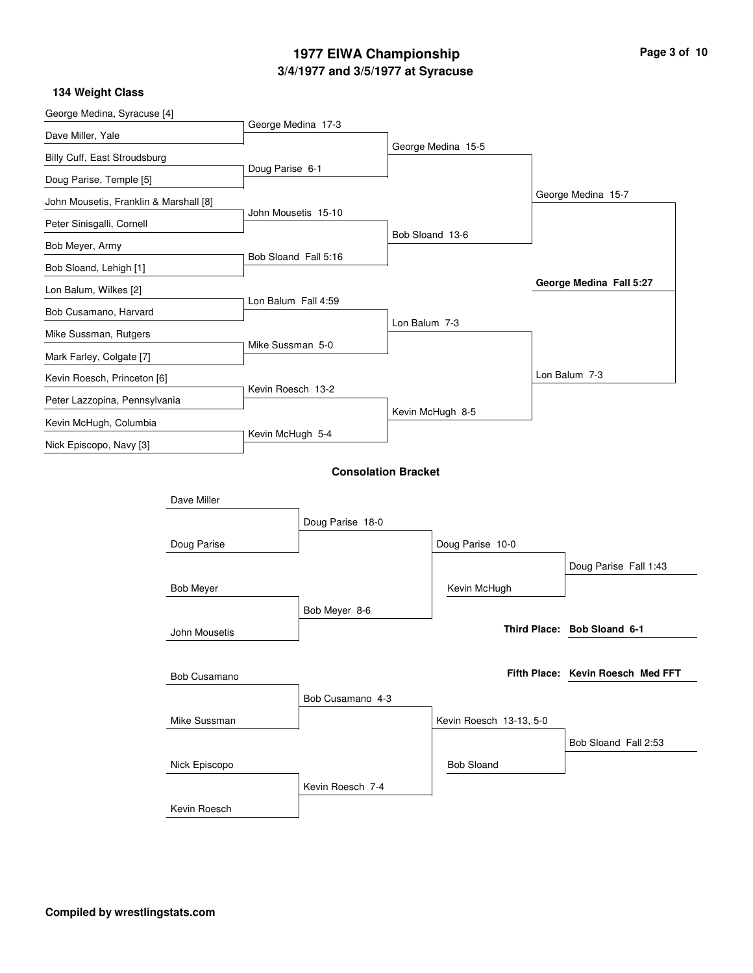### **3/4/1977 and 3/5/1977 at Syracuse 1977 EIWA Championship Page 3 of 10**

| George Medina, Syracuse [4]            |                     |                            |               |                         |                                   |  |
|----------------------------------------|---------------------|----------------------------|---------------|-------------------------|-----------------------------------|--|
| Dave Miller, Yale                      |                     | George Medina 17-3         |               |                         |                                   |  |
| Billy Cuff, East Stroudsburg           |                     |                            |               | George Medina 15-5      |                                   |  |
| Doug Parise, Temple [5]                |                     | Doug Parise 6-1            |               |                         |                                   |  |
| John Mousetis, Franklin & Marshall [8] |                     |                            |               |                         | George Medina 15-7                |  |
| Peter Sinisgalli, Cornell              |                     | John Mousetis 15-10        |               |                         |                                   |  |
| Bob Meyer, Army                        |                     |                            |               | Bob Sloand 13-6         |                                   |  |
| Bob Sloand, Lehigh [1]                 |                     | Bob Sloand Fall 5:16       |               |                         |                                   |  |
| Lon Balum, Wilkes [2]                  |                     |                            |               |                         | George Medina Fall 5:27           |  |
| Bob Cusamano, Harvard                  |                     | Lon Balum Fall 4:59        |               |                         |                                   |  |
| Mike Sussman, Rutgers                  |                     |                            | Lon Balum 7-3 |                         |                                   |  |
| Mark Farley, Colgate [7]               |                     | Mike Sussman 5-0           |               |                         |                                   |  |
| Kevin Roesch, Princeton [6]            |                     |                            |               |                         | Lon Balum 7-3                     |  |
| Peter Lazzopina, Pennsylvania          |                     | Kevin Roesch 13-2          |               |                         |                                   |  |
| Kevin McHugh, Columbia                 |                     |                            |               | Kevin McHugh 8-5        |                                   |  |
| Nick Episcopo, Navy [3]                |                     | Kevin McHugh 5-4           |               |                         |                                   |  |
|                                        |                     | <b>Consolation Bracket</b> |               |                         |                                   |  |
| Dave Miller                            |                     |                            |               |                         |                                   |  |
|                                        |                     | Doug Parise 18-0           |               |                         |                                   |  |
|                                        | Doug Parise         |                            |               | Doug Parise 10-0        |                                   |  |
|                                        |                     |                            |               |                         | Doug Parise Fall 1:43             |  |
| <b>Bob Meyer</b>                       |                     |                            |               | Kevin McHugh            |                                   |  |
|                                        |                     | Bob Meyer 8-6              |               |                         |                                   |  |
|                                        | John Mousetis       |                            |               |                         | Third Place: Bob Sloand 6-1       |  |
|                                        |                     |                            |               |                         |                                   |  |
|                                        | <b>Bob Cusamano</b> |                            |               |                         | Fifth Place: Kevin Roesch Med FFT |  |
|                                        |                     | Bob Cusamano 4-3           |               |                         |                                   |  |
|                                        | Mike Sussman        |                            |               | Kevin Roesch 13-13, 5-0 |                                   |  |
|                                        |                     |                            |               |                         | Bob Sloand Fall 2:53              |  |
|                                        | Nick Episcopo       |                            |               | <b>Bob Sloand</b>       |                                   |  |
|                                        |                     | Kevin Roesch 7-4           |               |                         |                                   |  |
|                                        | Kevin Roesch        |                            |               |                         |                                   |  |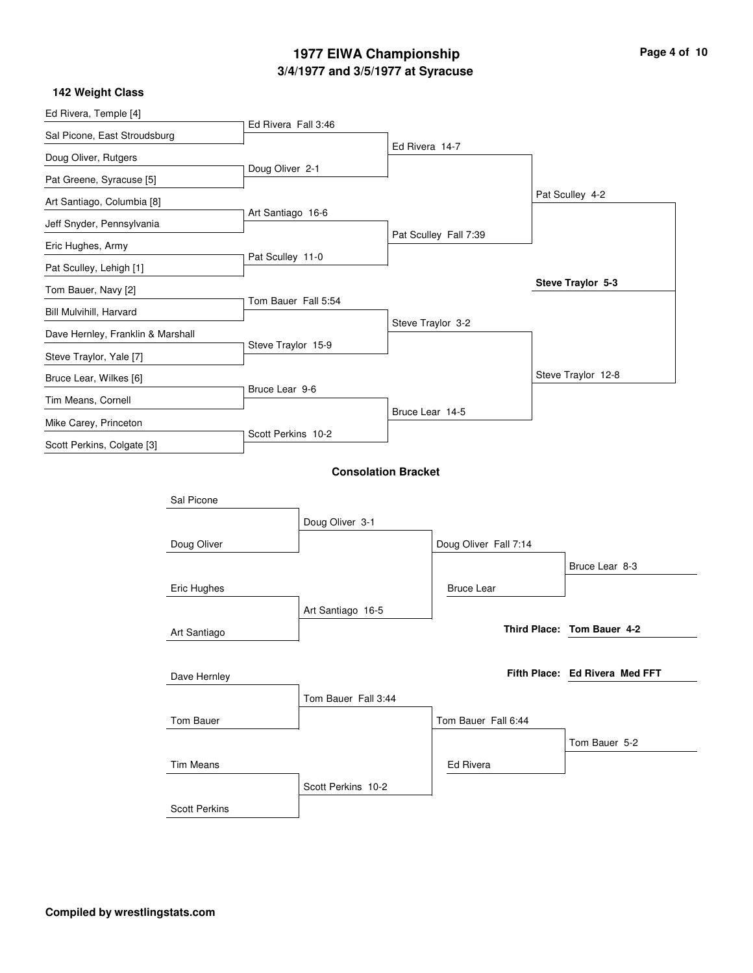### **3/4/1977 and 3/5/1977 at Syracuse 1977 EIWA Championship Page 4 of 10**

| Ed Rivera, Temple [4]             |                      |                     |                            |                   |                       |                                |  |
|-----------------------------------|----------------------|---------------------|----------------------------|-------------------|-----------------------|--------------------------------|--|
| Sal Picone, East Stroudsburg      |                      | Ed Rivera Fall 3:46 |                            |                   |                       |                                |  |
| Doug Oliver, Rutgers              |                      |                     |                            | Ed Rivera 14-7    |                       |                                |  |
| Pat Greene, Syracuse [5]          |                      | Doug Oliver 2-1     |                            |                   |                       |                                |  |
| Art Santiago, Columbia [8]        |                      |                     |                            |                   |                       | Pat Sculley 4-2                |  |
| Jeff Snyder, Pennsylvania         |                      | Art Santiago 16-6   |                            |                   |                       |                                |  |
| Eric Hughes, Army                 |                      |                     |                            |                   | Pat Sculley Fall 7:39 |                                |  |
| Pat Sculley, Lehigh [1]           |                      | Pat Sculley 11-0    |                            |                   |                       |                                |  |
| Tom Bauer, Navy [2]               |                      |                     |                            |                   |                       | Steve Traylor 5-3              |  |
| Bill Mulvihill, Harvard           |                      | Tom Bauer Fall 5:54 |                            |                   |                       |                                |  |
| Dave Hernley, Franklin & Marshall |                      |                     |                            | Steve Traylor 3-2 |                       |                                |  |
| Steve Traylor, Yale [7]           |                      | Steve Traylor 15-9  |                            |                   |                       |                                |  |
| Bruce Lear, Wilkes [6]            |                      |                     |                            |                   |                       | Steve Traylor 12-8             |  |
| Tim Means, Cornell                |                      | Bruce Lear 9-6      |                            |                   |                       |                                |  |
| Mike Carey, Princeton             |                      |                     |                            | Bruce Lear 14-5   |                       |                                |  |
| Scott Perkins, Colgate [3]        |                      | Scott Perkins 10-2  |                            |                   |                       |                                |  |
|                                   |                      |                     |                            |                   |                       |                                |  |
|                                   |                      |                     | <b>Consolation Bracket</b> |                   |                       |                                |  |
|                                   | Sal Picone           |                     |                            |                   |                       |                                |  |
|                                   |                      |                     | Doug Oliver 3-1            |                   |                       |                                |  |
|                                   | Doug Oliver          |                     |                            |                   | Doug Oliver Fall 7:14 |                                |  |
|                                   |                      |                     |                            |                   |                       | Bruce Lear 8-3                 |  |
|                                   | Eric Hughes          |                     |                            |                   | <b>Bruce Lear</b>     |                                |  |
|                                   |                      |                     | Art Santiago 16-5          |                   |                       |                                |  |
|                                   | Art Santiago         |                     |                            |                   |                       | Third Place: Tom Bauer 4-2     |  |
|                                   |                      |                     |                            |                   |                       |                                |  |
|                                   | Dave Hernley         |                     |                            |                   |                       | Fifth Place: Ed Rivera Med FFT |  |
|                                   |                      |                     | Tom Bauer Fall 3:44        |                   |                       |                                |  |
|                                   | Tom Bauer            |                     |                            |                   | Tom Bauer Fall 6:44   |                                |  |
|                                   |                      |                     |                            |                   |                       | Tom Bauer 5-2                  |  |
|                                   | <b>Tim Means</b>     |                     |                            |                   | Ed Rivera             |                                |  |
|                                   |                      |                     | Scott Perkins 10-2         |                   |                       |                                |  |
|                                   | <b>Scott Perkins</b> |                     |                            |                   |                       |                                |  |
|                                   |                      |                     |                            |                   |                       |                                |  |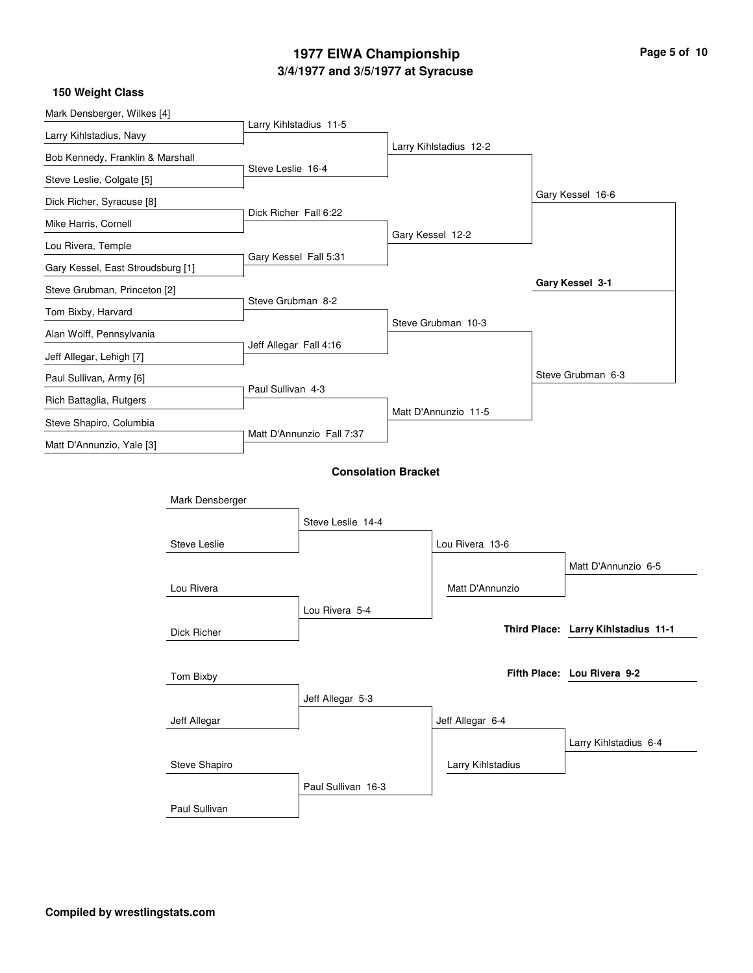# **3/4/1977 and 3/5/1977 at Syracuse 1977 EIWA Championship Page 5 of 10**

| Mark Densberger, Wilkes [4]       |                        |                            |                        |                                     |
|-----------------------------------|------------------------|----------------------------|------------------------|-------------------------------------|
| Larry Kihlstadius, Navy           | Larry Kihlstadius 11-5 |                            |                        |                                     |
| Bob Kennedy, Franklin & Marshall  |                        |                            | Larry Kihlstadius 12-2 |                                     |
| Steve Leslie, Colgate [5]         | Steve Leslie 16-4      |                            |                        |                                     |
| Dick Richer, Syracuse [8]         |                        |                            |                        | Gary Kessel 16-6                    |
| Mike Harris, Cornell              | Dick Richer Fall 6:22  |                            |                        |                                     |
| Lou Rivera, Temple                |                        |                            | Gary Kessel 12-2       |                                     |
| Gary Kessel, East Stroudsburg [1] | Gary Kessel Fall 5:31  |                            |                        |                                     |
| Steve Grubman, Princeton [2]      |                        |                            |                        | Gary Kessel 3-1                     |
| Tom Bixby, Harvard                | Steve Grubman 8-2      |                            |                        |                                     |
| Alan Wolff, Pennsylvania          |                        |                            | Steve Grubman 10-3     |                                     |
| Jeff Allegar, Lehigh [7]          | Jeff Allegar Fall 4:16 |                            |                        |                                     |
| Paul Sullivan, Army [6]           |                        |                            |                        | Steve Grubman 6-3                   |
| Rich Battaglia, Rutgers           | Paul Sullivan 4-3      |                            |                        |                                     |
| Steve Shapiro, Columbia           |                        |                            | Matt D'Annunzio 11-5   |                                     |
| Matt D'Annunzio, Yale [3]         |                        | Matt D'Annunzio Fall 7:37  |                        |                                     |
|                                   |                        | <b>Consolation Bracket</b> |                        |                                     |
|                                   |                        |                            |                        |                                     |
|                                   | Mark Densberger        |                            |                        |                                     |
|                                   |                        | Steve Leslie 14-4          |                        |                                     |
| Steve Leslie                      |                        |                            | Lou Rivera 13-6        |                                     |
|                                   |                        |                            |                        | Matt D'Annunzio 6-5                 |
| Lou Rivera                        |                        |                            | Matt D'Annunzio        |                                     |
|                                   |                        | Lou Rivera 5-4             |                        |                                     |
| Dick Richer                       |                        |                            |                        | Third Place: Larry Kihlstadius 11-1 |
|                                   |                        |                            |                        |                                     |
| Tom Bixby                         |                        |                            |                        | Fifth Place: Lou Rivera 9-2         |
|                                   |                        | Jeff Allegar 5-3           |                        |                                     |
| Jeff Allegar                      |                        |                            | Jeff Allegar 6-4       |                                     |
|                                   |                        |                            |                        | Larry Kihlstadius 6-4               |
| Steve Shapiro                     |                        |                            | Larry Kihlstadius      |                                     |
|                                   |                        | Paul Sullivan 16-3         |                        |                                     |
| Paul Sullivan                     |                        |                            |                        |                                     |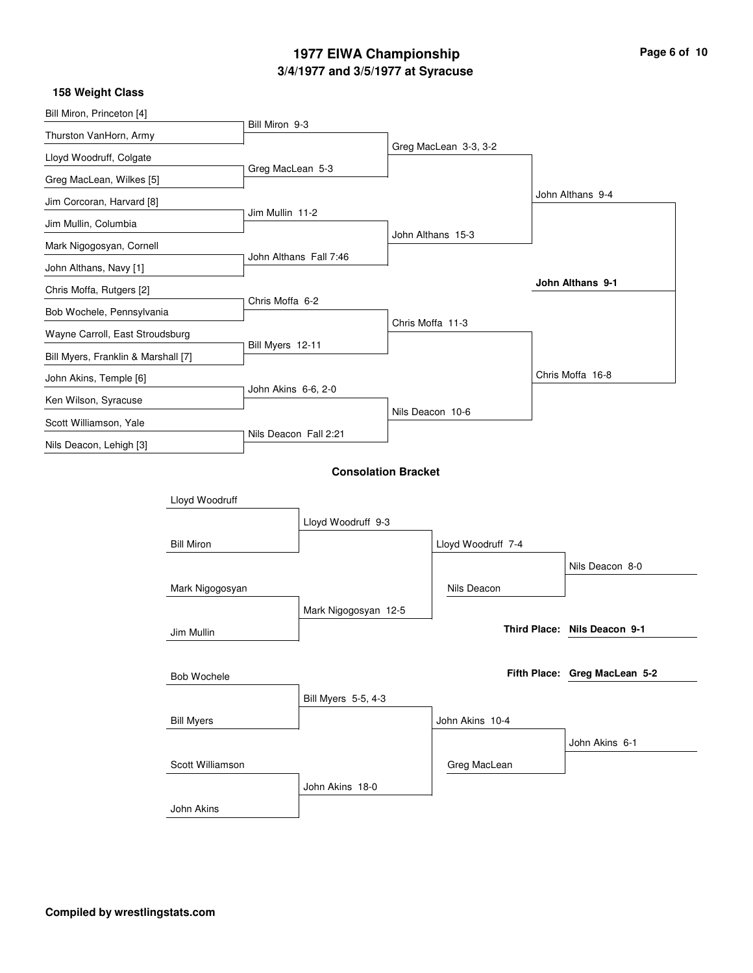# **3/4/1977 and 3/5/1977 at Syracuse 1977 EIWA Championship**

|  |  | Page 6 of 10 |  |
|--|--|--------------|--|
|  |  |              |  |

| 158 Weight Class                    |                   |                       |                            |                  |                       |                               |  |
|-------------------------------------|-------------------|-----------------------|----------------------------|------------------|-----------------------|-------------------------------|--|
| Bill Miron, Princeton [4]           |                   | Bill Miron 9-3        |                            |                  |                       |                               |  |
| Thurston VanHorn, Army              |                   |                       |                            |                  | Greg MacLean 3-3, 3-2 |                               |  |
| Lloyd Woodruff, Colgate             |                   | Greg MacLean 5-3      |                            |                  |                       |                               |  |
| Greg MacLean, Wilkes [5]            |                   |                       |                            |                  |                       |                               |  |
| Jim Corcoran, Harvard [8]           |                   | Jim Mullin 11-2       |                            |                  |                       | John Althans 9-4              |  |
| Jim Mullin, Columbia                |                   |                       |                            |                  | John Althans 15-3     |                               |  |
| Mark Nigogosyan, Cornell            |                   |                       | John Althans Fall 7:46     |                  |                       |                               |  |
| John Althans, Navy [1]              |                   |                       |                            |                  |                       |                               |  |
| Chris Moffa, Rutgers [2]            |                   | Chris Moffa 6-2       |                            |                  |                       | John Althans 9-1              |  |
| Bob Wochele, Pennsylvania           |                   |                       |                            | Chris Moffa 11-3 |                       |                               |  |
| Wayne Carroll, East Stroudsburg     |                   | Bill Myers 12-11      |                            |                  |                       |                               |  |
| Bill Myers, Franklin & Marshall [7] |                   |                       |                            |                  |                       |                               |  |
| John Akins, Temple [6]              |                   | John Akins 6-6, 2-0   |                            |                  |                       | Chris Moffa 16-8              |  |
| Ken Wilson, Syracuse                |                   |                       |                            | Nils Deacon 10-6 |                       |                               |  |
| Scott Williamson, Yale              |                   | Nils Deacon Fall 2:21 |                            |                  |                       |                               |  |
| Nils Deacon, Lehigh [3]             |                   |                       |                            |                  |                       |                               |  |
|                                     |                   |                       | <b>Consolation Bracket</b> |                  |                       |                               |  |
|                                     | Lloyd Woodruff    |                       |                            |                  |                       |                               |  |
|                                     |                   |                       | Lloyd Woodruff 9-3         |                  |                       |                               |  |
|                                     | <b>Bill Miron</b> |                       |                            |                  | Lloyd Woodruff 7-4    |                               |  |
|                                     |                   |                       |                            |                  |                       | Nils Deacon 8-0               |  |
|                                     | Mark Nigogosyan   |                       |                            |                  | Nils Deacon           |                               |  |
|                                     |                   |                       | Mark Nigogosyan 12-5       |                  |                       |                               |  |
|                                     | Jim Mullin        |                       |                            |                  |                       | Third Place: Nils Deacon 9-1  |  |
|                                     |                   |                       |                            |                  |                       |                               |  |
|                                     | Bob Wochele       |                       |                            |                  |                       | Fifth Place: Greg MacLean 5-2 |  |
|                                     |                   |                       | Bill Myers 5-5, 4-3        |                  |                       |                               |  |
|                                     | <b>Bill Myers</b> |                       |                            |                  | John Akins 10-4       |                               |  |
|                                     |                   |                       |                            |                  |                       | John Akins 6-1                |  |
|                                     | Scott Williamson  |                       |                            |                  | Greg MacLean          |                               |  |
|                                     |                   |                       | John Akins 18-0            |                  |                       |                               |  |
|                                     | John Akins        |                       |                            |                  |                       |                               |  |
|                                     |                   |                       |                            |                  |                       |                               |  |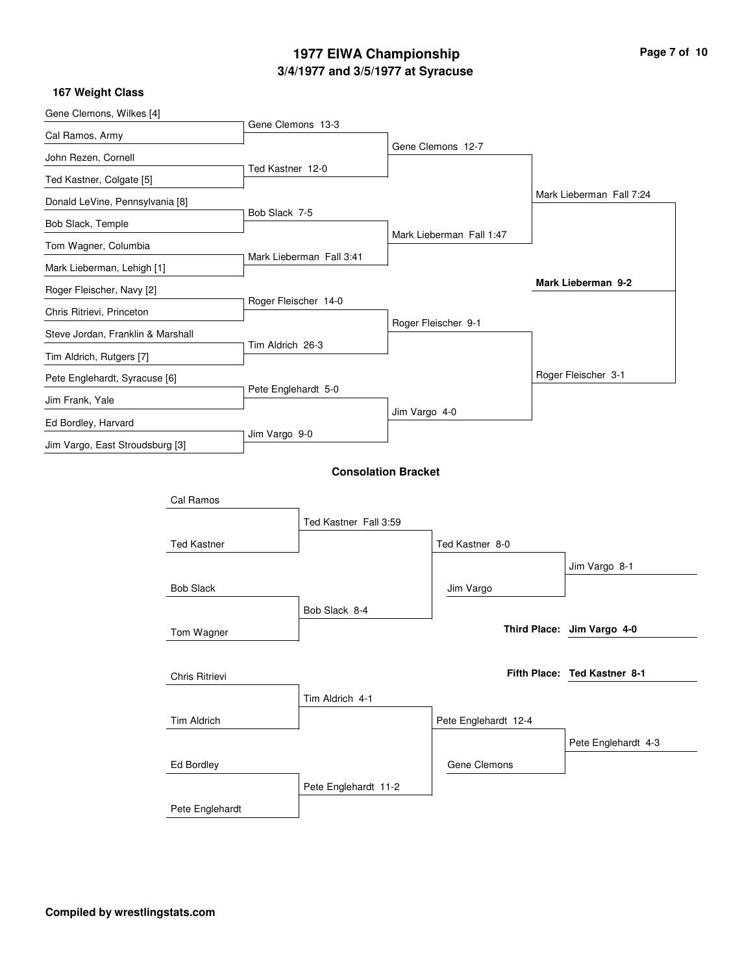# **3/4/1977 and 3/5/1977 at Syracuse 1977 EIWA Championship Page 7 of 10**

| Gene Clemons, Wilkes [4]          |                    |                      |                            |               |                          |                              |
|-----------------------------------|--------------------|----------------------|----------------------------|---------------|--------------------------|------------------------------|
| Cal Ramos, Army                   |                    | Gene Clemons 13-3    |                            |               |                          |                              |
| John Rezen, Cornell               |                    |                      |                            |               | Gene Clemons 12-7        |                              |
| Ted Kastner, Colgate [5]          |                    | Ted Kastner 12-0     |                            |               |                          |                              |
| Donald LeVine, Pennsylvania [8]   |                    |                      |                            |               |                          | Mark Lieberman Fall 7:24     |
| Bob Slack, Temple                 |                    | Bob Slack 7-5        |                            |               |                          |                              |
| Tom Wagner, Columbia              |                    |                      |                            |               | Mark Lieberman Fall 1:47 |                              |
| Mark Lieberman, Lehigh [1]        |                    |                      | Mark Lieberman Fall 3:41   |               |                          |                              |
| Roger Fleischer, Navy [2]         |                    |                      |                            |               |                          | Mark Lieberman 9-2           |
| Chris Ritrievi, Princeton         |                    | Roger Fleischer 14-0 |                            |               |                          |                              |
| Steve Jordan, Franklin & Marshall |                    |                      |                            |               | Roger Fleischer 9-1      |                              |
| Tim Aldrich, Rutgers [7]          |                    | Tim Aldrich 26-3     |                            |               |                          |                              |
| Pete Englehardt, Syracuse [6]     |                    |                      |                            |               |                          | Roger Fleischer 3-1          |
| Jim Frank, Yale                   |                    | Pete Englehardt 5-0  |                            |               |                          |                              |
| Ed Bordley, Harvard               |                    |                      |                            | Jim Vargo 4-0 |                          |                              |
| Jim Vargo, East Stroudsburg [3]   |                    | Jim Vargo 9-0        |                            |               |                          |                              |
|                                   |                    |                      | <b>Consolation Bracket</b> |               |                          |                              |
|                                   |                    |                      |                            |               |                          |                              |
|                                   | Cal Ramos          |                      |                            |               |                          |                              |
|                                   |                    |                      | Ted Kastner Fall 3:59      |               |                          |                              |
|                                   | <b>Ted Kastner</b> |                      |                            |               | Ted Kastner 8-0          |                              |
|                                   |                    |                      |                            |               |                          | Jim Vargo 8-1                |
|                                   | <b>Bob Slack</b>   |                      |                            |               | Jim Vargo                |                              |
|                                   |                    |                      | Bob Slack 8-4              |               |                          |                              |
|                                   | Tom Wagner         |                      |                            |               |                          | Third Place: Jim Vargo 4-0   |
|                                   |                    |                      |                            |               |                          |                              |
|                                   | Chris Ritrievi     |                      |                            |               |                          | Fifth Place: Ted Kastner 8-1 |
|                                   |                    |                      | Tim Aldrich 4-1            |               |                          |                              |
|                                   | Tim Aldrich        |                      |                            |               | Pete Englehardt 12-4     |                              |
|                                   |                    |                      |                            |               |                          | Pete Englehardt 4-3          |
|                                   | Ed Bordley         |                      |                            |               | Gene Clemons             |                              |
|                                   |                    |                      | Pete Englehardt 11-2       |               |                          |                              |
|                                   | Pete Englehardt    |                      |                            |               |                          |                              |
|                                   |                    |                      |                            |               |                          |                              |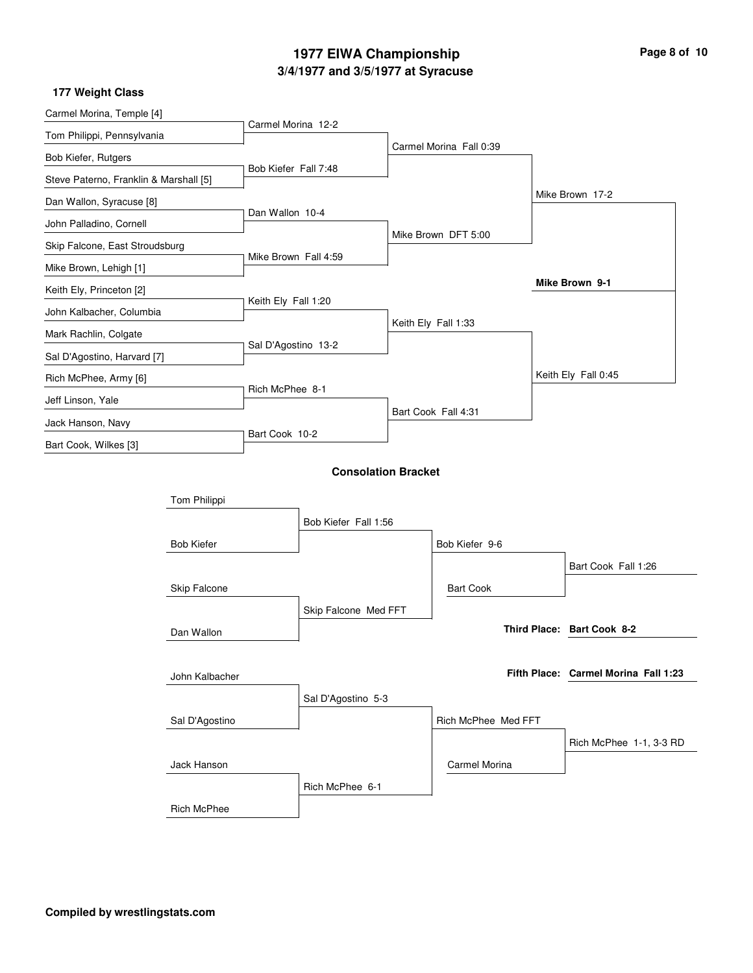# **3/4/1977 and 3/5/1977 at Syracuse 1977 EIWA Championship Page 8 of 10**

| Carmel Morina, Temple [4]              |                    |                      |                            |                         |                                      |
|----------------------------------------|--------------------|----------------------|----------------------------|-------------------------|--------------------------------------|
| Tom Philippi, Pennsylvania             |                    | Carmel Morina 12-2   |                            |                         |                                      |
| Bob Kiefer, Rutgers                    |                    |                      |                            | Carmel Morina Fall 0:39 |                                      |
| Steve Paterno, Franklin & Marshall [5] |                    | Bob Kiefer Fall 7:48 |                            |                         |                                      |
| Dan Wallon, Syracuse [8]               |                    |                      |                            |                         | Mike Brown 17-2                      |
| John Palladino, Cornell                |                    | Dan Wallon 10-4      |                            |                         |                                      |
| Skip Falcone, East Stroudsburg         |                    |                      |                            | Mike Brown DFT 5:00     |                                      |
| Mike Brown, Lehigh [1]                 |                    | Mike Brown Fall 4:59 |                            |                         |                                      |
| Keith Ely, Princeton [2]               |                    |                      |                            |                         | Mike Brown 9-1                       |
| John Kalbacher, Columbia               |                    | Keith Ely Fall 1:20  |                            |                         |                                      |
| Mark Rachlin, Colgate                  |                    |                      |                            | Keith Ely Fall 1:33     |                                      |
| Sal D'Agostino, Harvard [7]            |                    | Sal D'Agostino 13-2  |                            |                         |                                      |
| Rich McPhee, Army [6]                  |                    |                      |                            |                         | Keith Ely Fall 0:45                  |
| Jeff Linson, Yale                      |                    | Rich McPhee 8-1      |                            |                         |                                      |
| Jack Hanson, Navy                      |                    |                      |                            | Bart Cook Fall 4:31     |                                      |
| Bart Cook, Wilkes [3]                  |                    | Bart Cook 10-2       |                            |                         |                                      |
|                                        |                    |                      | <b>Consolation Bracket</b> |                         |                                      |
|                                        |                    |                      |                            |                         |                                      |
|                                        | Tom Philippi       |                      |                            |                         |                                      |
|                                        |                    |                      | Bob Kiefer Fall 1:56       |                         |                                      |
|                                        | <b>Bob Kiefer</b>  |                      |                            | Bob Kiefer 9-6          |                                      |
|                                        |                    |                      |                            |                         | Bart Cook Fall 1:26                  |
|                                        | Skip Falcone       |                      |                            | <b>Bart Cook</b>        |                                      |
|                                        |                    |                      | Skip Falcone Med FFT       |                         |                                      |
|                                        | Dan Wallon         |                      |                            |                         | Third Place: Bart Cook 8-2           |
|                                        |                    |                      |                            |                         |                                      |
|                                        | John Kalbacher     |                      |                            |                         | Fifth Place: Carmel Morina Fall 1:23 |
|                                        |                    |                      | Sal D'Agostino 5-3         |                         |                                      |
|                                        | Sal D'Agostino     |                      |                            | Rich McPhee Med FFT     |                                      |
|                                        |                    |                      |                            |                         | Rich McPhee 1-1, 3-3 RD              |
|                                        | Jack Hanson        |                      |                            | Carmel Morina           |                                      |
|                                        |                    |                      | Rich McPhee 6-1            |                         |                                      |
|                                        | <b>Rich McPhee</b> |                      |                            |                         |                                      |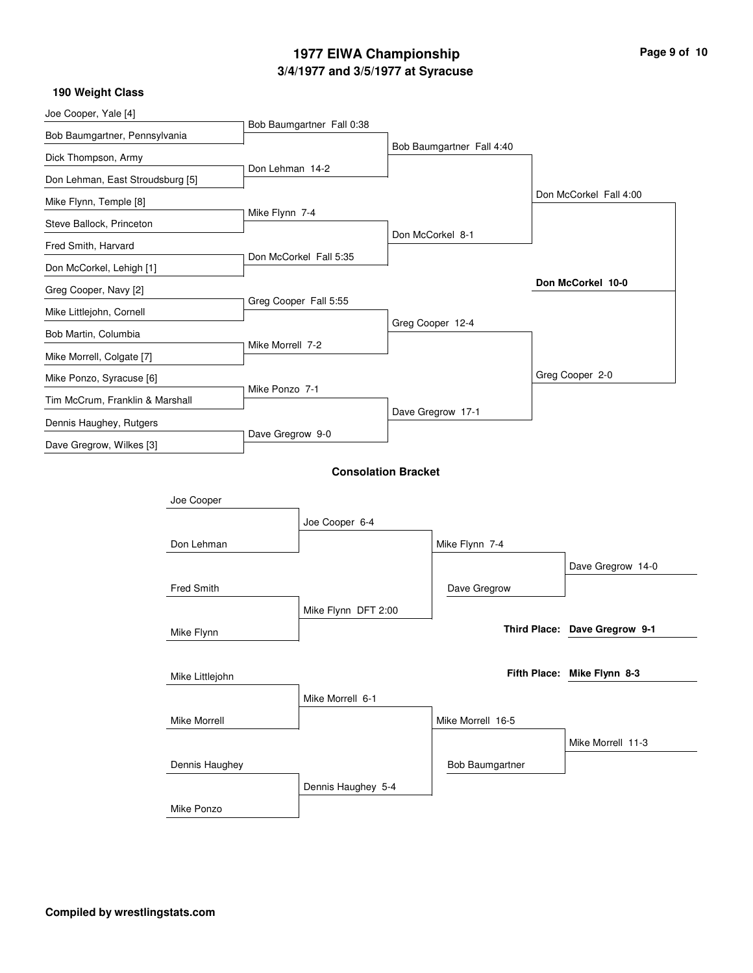### **3/4/1977 and 3/5/1977 at Syracuse 1977 EIWA Championship Page 9 of 10**

| Joe Cooper, Yale [4]             |                     |                  |                            |                           |                               |
|----------------------------------|---------------------|------------------|----------------------------|---------------------------|-------------------------------|
| Bob Baumgartner, Pennsylvania    |                     |                  | Bob Baumgartner Fall 0:38  |                           |                               |
| Dick Thompson, Army              |                     |                  |                            | Bob Baumgartner Fall 4:40 |                               |
| Don Lehman, East Stroudsburg [5] |                     | Don Lehman 14-2  |                            |                           |                               |
| Mike Flynn, Temple [8]           |                     |                  |                            |                           | Don McCorkel Fall 4:00        |
| Steve Ballock, Princeton         |                     | Mike Flynn 7-4   |                            |                           |                               |
| Fred Smith, Harvard              |                     |                  |                            | Don McCorkel 8-1          |                               |
| Don McCorkel, Lehigh [1]         |                     |                  | Don McCorkel Fall 5:35     |                           |                               |
| Greg Cooper, Navy [2]            |                     |                  |                            |                           | Don McCorkel 10-0             |
| Mike Littlejohn, Cornell         |                     |                  | Greg Cooper Fall 5:55      |                           |                               |
| Bob Martin, Columbia             |                     |                  |                            | Greg Cooper 12-4          |                               |
| Mike Morrell, Colgate [7]        |                     | Mike Morrell 7-2 |                            |                           |                               |
| Mike Ponzo, Syracuse [6]         |                     |                  |                            |                           | Greg Cooper 2-0               |
| Tim McCrum, Franklin & Marshall  |                     | Mike Ponzo 7-1   |                            |                           |                               |
| Dennis Haughey, Rutgers          |                     |                  |                            | Dave Gregrow 17-1         |                               |
| Dave Gregrow, Wilkes [3]         |                     | Dave Gregrow 9-0 |                            |                           |                               |
|                                  |                     |                  |                            |                           |                               |
|                                  |                     |                  | <b>Consolation Bracket</b> |                           |                               |
|                                  | Joe Cooper          |                  |                            |                           |                               |
|                                  |                     |                  | Joe Cooper 6-4             |                           |                               |
|                                  | Don Lehman          |                  |                            | Mike Flynn 7-4            |                               |
|                                  |                     |                  |                            |                           | Dave Gregrow 14-0             |
|                                  | Fred Smith          |                  |                            | Dave Gregrow              |                               |
|                                  |                     |                  | Mike Flynn DFT 2:00        |                           |                               |
|                                  | Mike Flynn          |                  |                            |                           | Third Place: Dave Gregrow 9-1 |
|                                  |                     |                  |                            |                           |                               |
|                                  | Mike Littlejohn     |                  |                            |                           | Fifth Place: Mike Flynn 8-3   |
|                                  |                     |                  | Mike Morrell 6-1           |                           |                               |
|                                  | <b>Mike Morrell</b> |                  |                            | Mike Morrell 16-5         |                               |
|                                  |                     |                  |                            |                           | Mike Morrell 11-3             |
|                                  | Dennis Haughey      |                  |                            | <b>Bob Baumgartner</b>    |                               |
|                                  |                     |                  | Dennis Haughey 5-4         |                           |                               |
|                                  | Mike Ponzo          |                  |                            |                           |                               |
|                                  |                     |                  |                            |                           |                               |